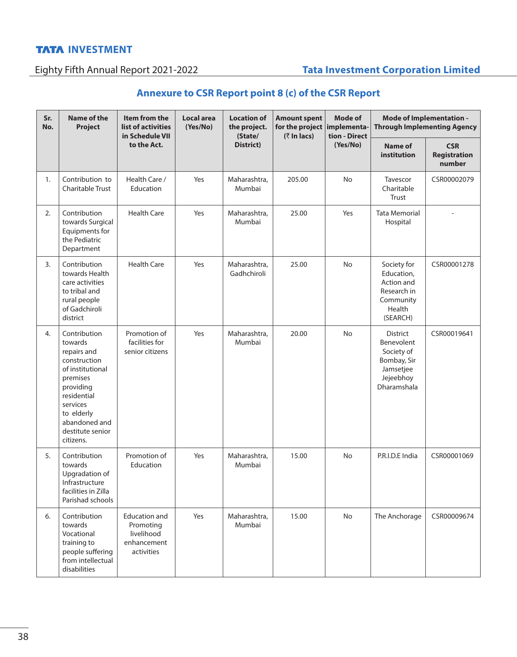#### **INVESTMENT**

## Eighty Fifth Annual Report 2021-2022 **Tata Investment Corporation Limited**

## **Annexure to CSR Report point 8 (c) of the CSR Report**

| Sr.<br>No. | <b>Name of the</b><br>Project                                                                                                                                                                  | Item from the<br>list of activities<br>in Schedule VII<br>to the Act.        | Local area<br>(Yes/No) | <b>Location of</b><br>the project.<br>(State/<br>District) | <b>Amount spent</b><br>for the project implementa-<br>$($ ₹ In lacs) | <b>Mode of</b><br>tion - Direct<br>(Yes/No) | Mode of Implementation -<br><b>Through Implementing Agency</b>                                      |                                             |
|------------|------------------------------------------------------------------------------------------------------------------------------------------------------------------------------------------------|------------------------------------------------------------------------------|------------------------|------------------------------------------------------------|----------------------------------------------------------------------|---------------------------------------------|-----------------------------------------------------------------------------------------------------|---------------------------------------------|
|            |                                                                                                                                                                                                |                                                                              |                        |                                                            |                                                                      |                                             | Name of<br>institution                                                                              | <b>CSR</b><br><b>Registration</b><br>number |
| 1.         | Contribution to<br>Charitable Trust                                                                                                                                                            | Health Care /<br>Education                                                   | Yes                    | Maharashtra,<br>Mumbai                                     | 205.00                                                               | <b>No</b>                                   | Tavescor<br>Charitable<br>Trust                                                                     | CSR00002079                                 |
| 2.         | Contribution<br>towards Surgical<br>Equipments for<br>the Pediatric<br>Department                                                                                                              | <b>Health Care</b>                                                           | Yes                    | Maharashtra,<br>Mumbai                                     | 25.00                                                                | Yes                                         | <b>Tata Memorial</b><br>Hospital                                                                    |                                             |
| 3.         | Contribution<br>towards Health<br>care activities<br>to tribal and<br>rural people<br>of Gadchiroli<br>district                                                                                | <b>Health Care</b>                                                           | Yes                    | Maharashtra,<br>Gadhchiroli                                | 25.00                                                                | No                                          | Society for<br>Education,<br>Action and<br>Research in<br>Community<br>Health<br>(SEARCH)           | CSR00001278                                 |
| 4.         | Contribution<br>towards<br>repairs and<br>construction<br>of institutional<br>premises<br>providing<br>residential<br>services<br>to elderly<br>abandoned and<br>destitute senior<br>citizens. | Promotion of<br>facilities for<br>senior citizens                            | Yes                    | Maharashtra,<br>Mumbai                                     | 20.00                                                                | <b>No</b>                                   | <b>District</b><br>Benevolent<br>Society of<br>Bombay, Sir<br>Jamsetjee<br>Jejeebhoy<br>Dharamshala | CSR00019641                                 |
| 5.         | Contribution<br>towards<br>Upgradation of<br>Infrastructure<br>facilities in Zilla<br>Parishad schools                                                                                         | Promotion of<br>Education                                                    | Yes                    | Maharashtra,<br>Mumbai                                     | 15.00                                                                | No                                          | P.R.I.D.E India                                                                                     | CSR00001069                                 |
| 6.         | Contribution<br>towards<br>Vocational<br>training to<br>people suffering<br>from intellectual<br>disabilities                                                                                  | <b>Education and</b><br>Promoting<br>livelihood<br>enhancement<br>activities | Yes                    | Maharashtra,<br>Mumbai                                     | 15.00                                                                | No                                          | The Anchorage                                                                                       | CSR00009674                                 |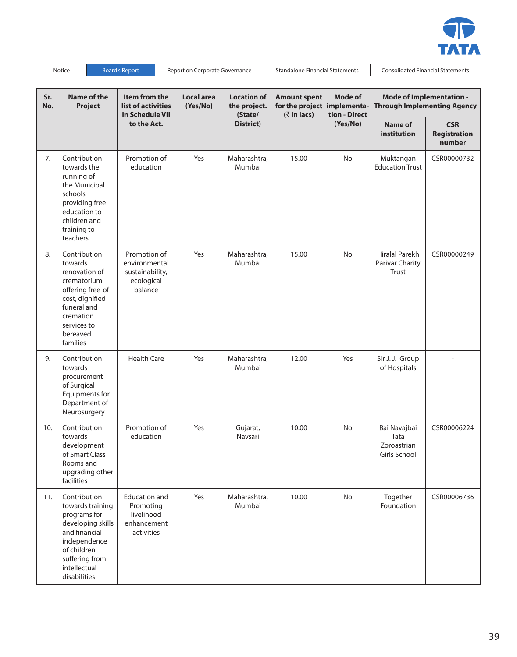

Notice Board's Report Report on Corporate Governance Standalone Financial Statements Consolidated Financial Statements

| Sr.<br>No. | <b>Name of the</b><br>Project                                                                                                                                           | Item from the<br>list of activities<br>in Schedule VII<br>to the Act.        | <b>Local area</b><br>(Yes/No) | <b>Location of</b><br>the project.<br>(State/<br>District) | <b>Amount spent</b><br>for the project implementa-<br>$($ ₹ In lacs) | <b>Mode of</b><br>tion - Direct<br>(Yes/No) | Mode of Implementation -<br><b>Through Implementing Agency</b> |                                      |
|------------|-------------------------------------------------------------------------------------------------------------------------------------------------------------------------|------------------------------------------------------------------------------|-------------------------------|------------------------------------------------------------|----------------------------------------------------------------------|---------------------------------------------|----------------------------------------------------------------|--------------------------------------|
|            |                                                                                                                                                                         |                                                                              |                               |                                                            |                                                                      |                                             | Name of<br>institution                                         | <b>CSR</b><br>Registration<br>number |
| 7.         | Contribution<br>towards the<br>running of<br>the Municipal<br>schools<br>providing free<br>education to<br>children and<br>training to<br>teachers                      | Promotion of<br>education                                                    | Yes                           | Maharashtra,<br>Mumbai                                     | 15.00                                                                | No                                          | Muktangan<br><b>Education Trust</b>                            | CSR00000732                          |
| 8.         | Contribution<br>towards<br>renovation of<br>crematorium<br>offering free-of-<br>cost, dignified<br>funeral and<br>cremation<br>services to<br>bereaved<br>families      | Promotion of<br>environmental<br>sustainability,<br>ecological<br>balance    | Yes                           | Maharashtra,<br>Mumbai                                     | 15.00                                                                | <b>No</b>                                   | Hiralal Parekh<br>Parivar Charity<br>Trust                     | CSR00000249                          |
| 9.         | Contribution<br>towards<br>procurement<br>of Surgical<br>Equipments for<br>Department of<br>Neurosurgery                                                                | <b>Health Care</b>                                                           | Yes                           | Maharashtra,<br>Mumbai                                     | 12.00                                                                | Yes                                         | Sir J. J. Group<br>of Hospitals                                |                                      |
| 10.        | Contribution<br>towards<br>development<br>of Smart Class<br>Rooms and<br>upgrading other<br>facilities                                                                  | Promotion of<br>education                                                    | Yes                           | Gujarat,<br>Navsari                                        | 10.00                                                                | <b>No</b>                                   | Bai Navajbai<br>Tata<br>Zoroastrian<br>Girls School            | CSR00006224                          |
| 11.        | Contribution<br>towards training<br>programs for<br>developing skills<br>and financial<br>independence<br>of children<br>suffering from<br>intellectual<br>disabilities | <b>Education and</b><br>Promoting<br>livelihood<br>enhancement<br>activities | Yes                           | Maharashtra,<br>Mumbai                                     | 10.00                                                                | No                                          | Together<br>Foundation                                         | CSR00006736                          |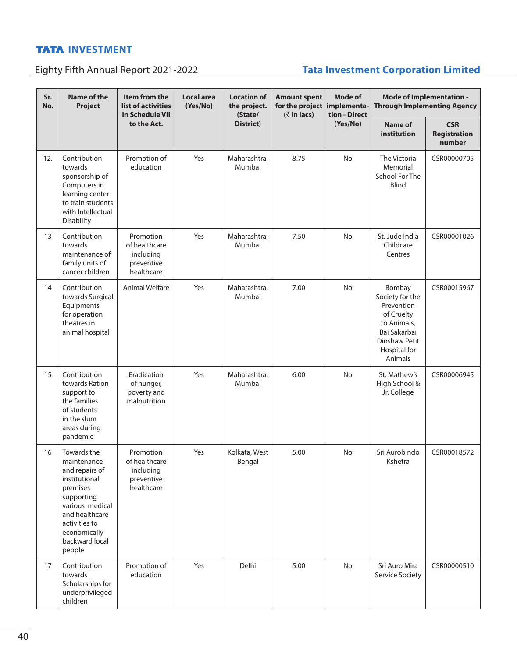### **INVESTMENT**

# Eighty Fifth Annual Report 2021-2022 **Tata Investment Corporation Limited**

| Sr.<br>No. | <b>Name of the</b><br><b>Project</b>                                                                                                                                                      | Item from the<br>list of activities<br>in Schedule VII<br>to the Act. | <b>Local area</b><br>(Yes/No) | <b>Location of</b><br>the project.<br>(State/<br>District) | <b>Amount spent</b><br>for the project implementa-<br>$($ ₹ In lacs) | Mode of<br>tion - Direct<br>(Yes/No) | Mode of Implementation -<br><b>Through Implementing Agency</b>                                                                   |                                             |
|------------|-------------------------------------------------------------------------------------------------------------------------------------------------------------------------------------------|-----------------------------------------------------------------------|-------------------------------|------------------------------------------------------------|----------------------------------------------------------------------|--------------------------------------|----------------------------------------------------------------------------------------------------------------------------------|---------------------------------------------|
|            |                                                                                                                                                                                           |                                                                       |                               |                                                            |                                                                      |                                      | <b>Name of</b><br>institution                                                                                                    | <b>CSR</b><br><b>Registration</b><br>number |
| 12.        | Contribution<br>towards<br>sponsorship of<br>Computers in<br>learning center<br>to train students<br>with Intellectual<br>Disability                                                      | Promotion of<br>education                                             | Yes                           | Maharashtra,<br>Mumbai                                     | 8.75                                                                 | <b>No</b>                            | The Victoria<br>Memorial<br><b>School For The</b><br>Blind                                                                       | CSR00000705                                 |
| 13         | Contribution<br>towards<br>maintenance of<br>family units of<br>cancer children                                                                                                           | Promotion<br>of healthcare<br>including<br>preventive<br>healthcare   | Yes                           | Maharashtra,<br>Mumbai                                     | 7.50                                                                 | No                                   | St. Jude India<br>Childcare<br>Centres                                                                                           | CSR00001026                                 |
| 14         | Contribution<br>towards Surgical<br>Equipments<br>for operation<br>theatres in<br>animal hospital                                                                                         | Animal Welfare                                                        | Yes                           | Maharashtra.<br>Mumbai                                     | 7.00                                                                 | <b>No</b>                            | Bombay<br>Society for the<br>Prevention<br>of Cruelty<br>to Animals,<br>Bai Sakarbai<br>Dinshaw Petit<br>Hospital for<br>Animals | CSR00015967                                 |
| 15         | Contribution<br>towards Ration<br>support to<br>the families<br>of students<br>in the slum<br>areas during<br>pandemic                                                                    | Eradication<br>of hunger,<br>poverty and<br>malnutrition              | Yes                           | Maharashtra,<br>Mumbai                                     | 6.00                                                                 | No                                   | St. Mathew's<br>High School &<br>Jr. College                                                                                     | CSR00006945                                 |
| 16         | Towards the<br>maintenance<br>and repairs of<br>institutional<br>premises<br>supporting<br>various medical<br>and healthcare<br>activities to<br>economically<br>backward local<br>people | Promotion<br>of healthcare<br>including<br>preventive<br>healthcare   | Yes                           | Kolkata, West<br>Bengal                                    | 5.00                                                                 | No                                   | Sri Aurobindo<br>Kshetra                                                                                                         | CSR00018572                                 |
| 17         | Contribution<br>towards<br>Scholarships for<br>underprivileged<br>children                                                                                                                | Promotion of<br>education                                             | Yes                           | Delhi                                                      | 5.00                                                                 | No                                   | Sri Auro Mira<br>Service Society                                                                                                 | CSR00000510                                 |